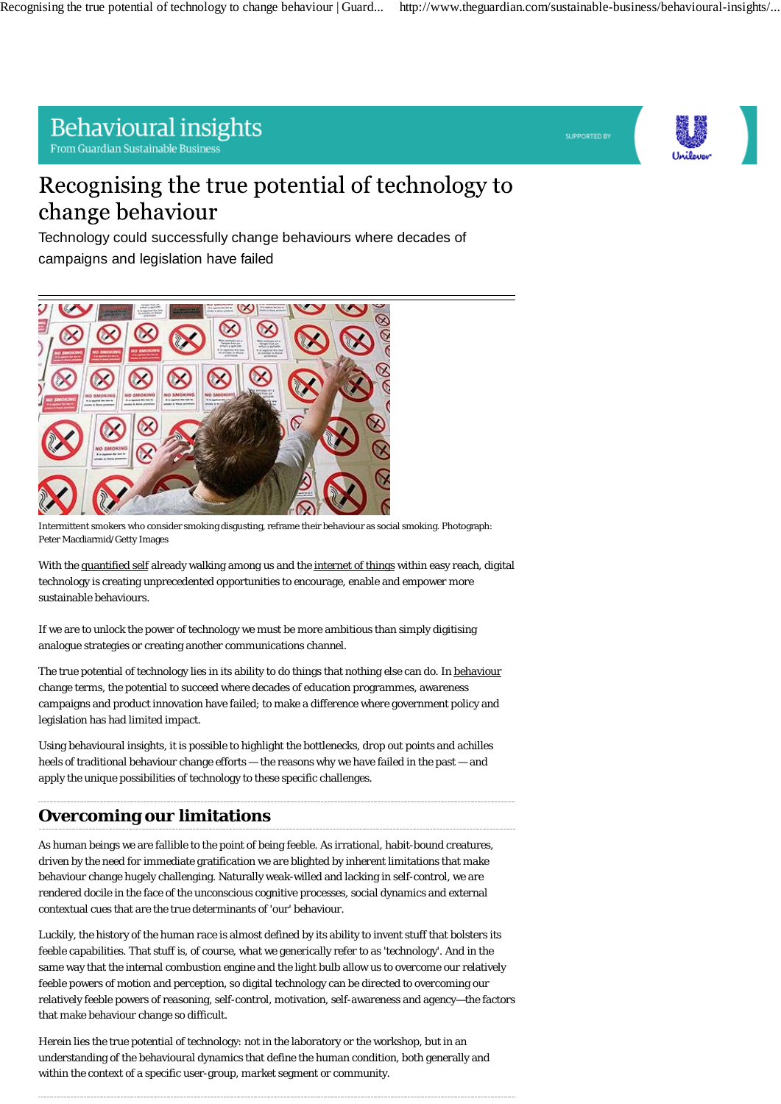# **Behavioural insights**

From Guardian Sustainable Business





## Recognising the true potential of technology to change behaviour

Technology could successfully change behaviours where decades of campaigns and legislation have failed



Intermittent smokers who consider smoking disgusting, reframe their behaviour as social smoking. Photograph: Peter Macdiarmid/Getty Images

With the quantified self already walking among us and the internet of things within easy reach, digital technology is creating unprecedented opportunities to encourage, enable and empower more sustainable behaviours.

If we are to unlock the power of technology we must be more ambitious than simply digitising analogue strategies or creating another communications channel.

The true potential of technology lies in its ability to do things that nothing else can do. In behaviour change terms, the potential to succeed where decades of education programmes, awareness campaigns and product innovation have failed; to make a difference where government policy and legislation has had limited impact.

Using behavioural insights, it is possible to highlight the bottlenecks, drop out points and achilles heels of traditional behaviour change efforts — the reasons why we have failed in the past — and apply the unique possibilities of technology to these specific challenges.

### **Overcoming our limitations**

As human beings we are fallible to the point of being feeble. As irrational, habit-bound creatures, driven by the need for immediate gratification we are blighted by inherent limitations that make behaviour change hugely challenging. Naturally weak-willed and lacking in self-control, we are rendered docile in the face of the unconscious cognitive processes, social dynamics and external contextual cues that are the true determinants of 'our' behaviour.

Luckily, the history of the human race is almost defined by its ability to invent stuff that bolsters its feeble capabilities. That stuff is, of course, what we generically refer to as 'technology'. And in the same way that the internal combustion engine and the light bulb allow us to overcome our relatively feeble powers of motion and perception, so digital technology can be directed to overcoming our relatively feeble powers of reasoning, self-control, motivation, self-awareness and agency—the factors that make behaviour change so difficult.

Herein lies the true potential of technology: not in the laboratory or the workshop, but in an understanding of the behavioural dynamics that define the human condition, both generally and within the context of a specific user-group, market segment or community.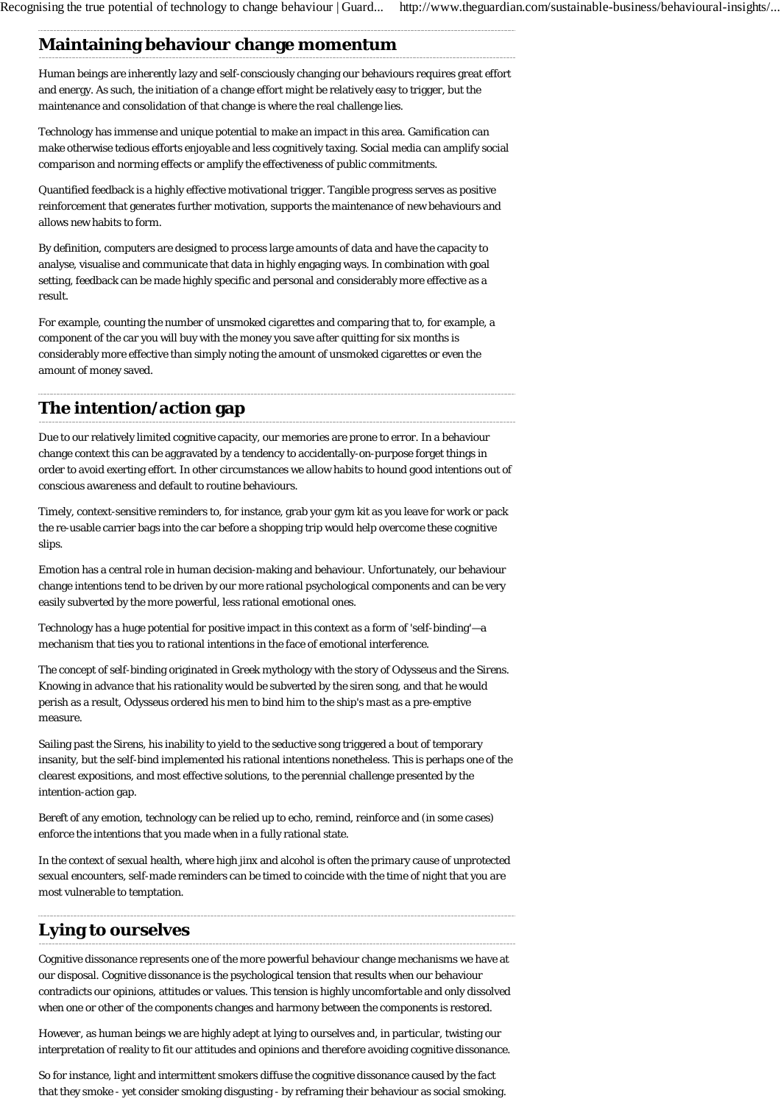#### **Maintaining behaviour change momentum**

Human beings are inherently lazy and self-consciously changing our behaviours requires great effort and energy. As such, the initiation of a change effort might be relatively easy to trigger, but the maintenance and consolidation of that change is where the real challenge lies.

Technology has immense and unique potential to make an impact in this area. Gamification can make otherwise tedious efforts enjoyable and less cognitively taxing. Social media can amplify social comparison and norming effects or amplify the effectiveness of public commitments.

Quantified feedback is a highly effective motivational trigger. Tangible progress serves as positive reinforcement that generates further motivation, supports the maintenance of new behaviours and allows new habits to form.

By definition, computers are designed to process large amounts of data and have the capacity to analyse, visualise and communicate that data in highly engaging ways. In combination with goal setting, feedback can be made highly specific and personal and considerably more effective as a result.

For example, counting the number of unsmoked cigarettes and comparing that to, for example, a component of the car you will buy with the money you save after quitting for six months is considerably more effective than simply noting the amount of unsmoked cigarettes or even the amount of money saved.

#### **The intention/action gap**

Due to our relatively limited cognitive capacity, our memories are prone to error. In a behaviour change context this can be aggravated by a tendency to accidentally-on-purpose forget things in order to avoid exerting effort. In other circumstances we allow habits to hound good intentions out of conscious awareness and default to routine behaviours.

Timely, context-sensitive reminders to, for instance, grab your gym kit as you leave for work or pack the re-usable carrier bags into the car before a shopping trip would help overcome these cognitive slips.

Emotion has a central role in human decision-making and behaviour. Unfortunately, our behaviour change intentions tend to be driven by our more rational psychological components and can be very easily subverted by the more powerful, less rational emotional ones.

Technology has a huge potential for positive impact in this context as a form of 'self-binding'—a mechanism that ties you to rational intentions in the face of emotional interference.

The concept of self-binding originated in Greek mythology with the story of Odysseus and the Sirens. Knowing in advance that his rationality would be subverted by the siren song, and that he would perish as a result, Odysseus ordered his men to bind him to the ship's mast as a pre-emptive measure.

Sailing past the Sirens, his inability to yield to the seductive song triggered a bout of temporary insanity, but the self-bind implemented his rational intentions nonetheless. This is perhaps one of the clearest expositions, and most effective solutions, to the perennial challenge presented by the intention-action gap.

Bereft of any emotion, technology can be relied up to echo, remind, reinforce and (in some cases) enforce the intentions that you made when in a fully rational state.

In the context of sexual health, where high jinx and alcohol is often the primary cause of unprotected sexual encounters, self-made reminders can be timed to coincide with the time of night that you are most vulnerable to temptation.

#### **Lying to ourselves**

Cognitive dissonance represents one of the more powerful behaviour change mechanisms we have at our disposal. Cognitive dissonance is the psychological tension that results when our behaviour contradicts our opinions, attitudes or values. This tension is highly uncomfortable and only dissolved when one or other of the components changes and harmony between the components is restored.

However, as human beings we are highly adept at lying to ourselves and, in particular, twisting our interpretation of reality to fit our attitudes and opinions and therefore avoiding cognitive dissonance.

So for instance, light and intermittent smokers diffuse the cognitive dissonance caused by the fact that they smoke - yet consider smoking disgusting - by reframing their behaviour as social smoking.